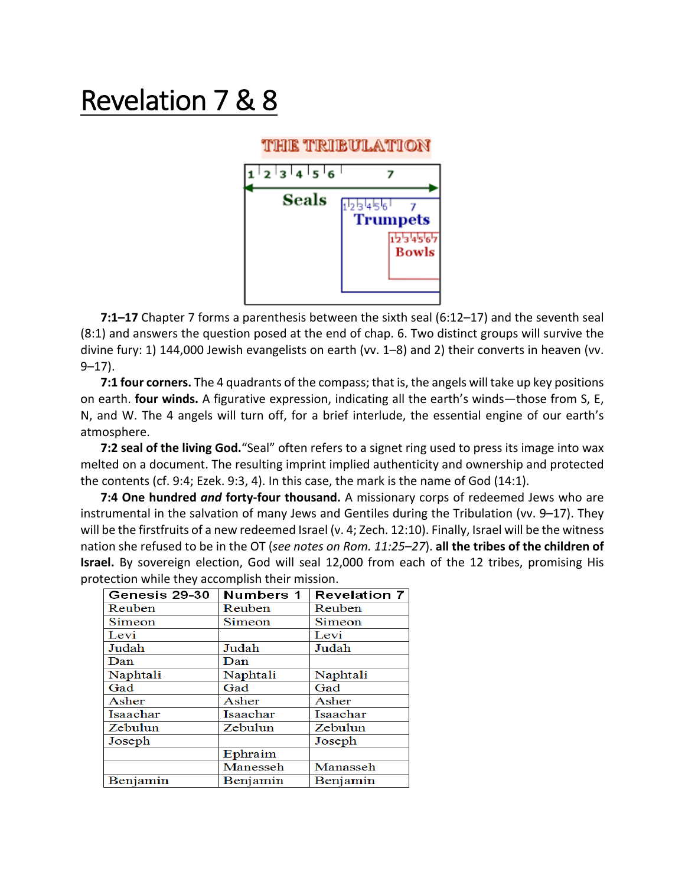## Revelation 7 & 8

## thie tribulation



**7:1–17** Chapter 7 forms a parenthesis between the sixth seal (6:12–17) and the seventh seal (8:1) and answers the question posed at the end of chap. 6. Two distinct groups will survive the divine fury: 1) 144,000 Jewish evangelists on earth (vv. 1–8) and 2) their converts in heaven (vv.  $9 - 17$ ).

**7:1 four corners.** The 4 quadrants of the compass; that is, the angels will take up key positions on earth. **four winds.** A figurative expression, indicating all the earth's winds—those from S, E, N, and W. The 4 angels will turn off, for a brief interlude, the essential engine of our earth's atmosphere.

**7:2 seal of the living God.**"Seal" often refers to a signet ring used to press its image into wax melted on a document. The resulting imprint implied authenticity and ownership and protected the contents (cf. 9:4; Ezek. 9:3, 4). In this case, the mark is the name of God (14:1).

**7:4 One hundred** *and* **forty-four thousand.** A missionary corps of redeemed Jews who are instrumental in the salvation of many Jews and Gentiles during the Tribulation (vv. 9–17). They will be the firstfruits of a new redeemed Israel (v. 4; Zech. 12:10). Finally, Israel will be the witness nation she refused to be in the OT (*see notes on Rom. 11:25–27*). **all the tribes of the children of Israel.** By sovereign election, God will seal 12,000 from each of the 12 tribes, promising His protection while they accomplish their mission.

| Genesis 29-30 | Numbers 1 | Revelation 7 |  |
|---------------|-----------|--------------|--|
| Reuben        | Reuben    | Reuben       |  |
| Simeon        | Simeon    | Simeon       |  |
| Levi          |           | Levi         |  |
| Judah         | Judah     | Judah        |  |
| Dan           | Dan       |              |  |
| Naphtali      | Naphtali  | Naphtali     |  |
| Gad           | Gad       | Gad          |  |
| Asher         | Asher     | Asher        |  |
| Isaachar      | Isaachar  | Isaachar     |  |
| Zebulun       | Zebulun   | Zebulun      |  |
| Joseph        |           | Joseph       |  |
|               | Ephraim   |              |  |
|               | Manesseh  | Manasseh     |  |
| Benjamin      | Benjamin  | Benjamin     |  |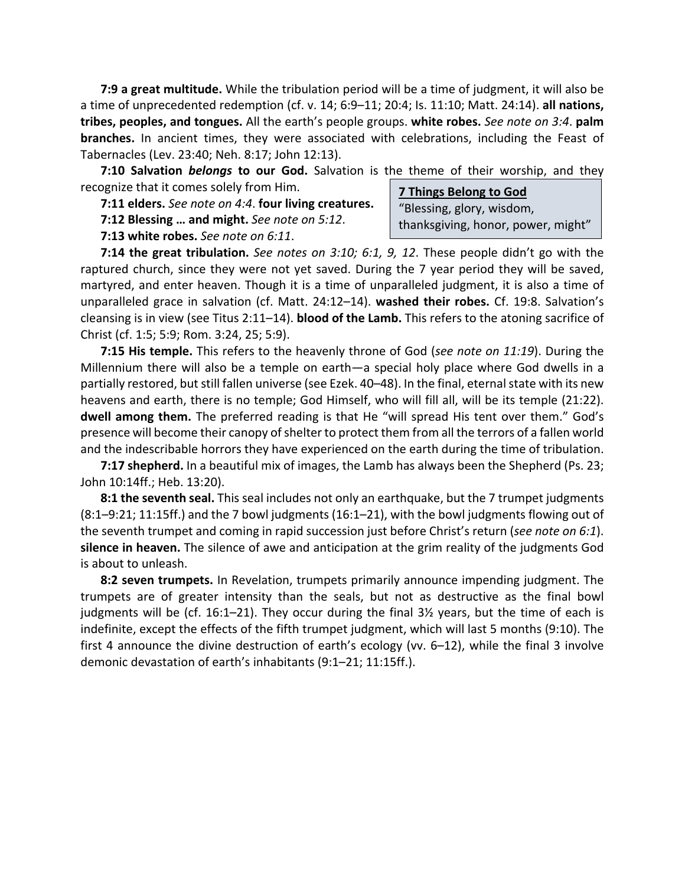**7:9 a great multitude.** While the tribulation period will be a time of judgment, it will also be a time of unprecedented redemption (cf. v. 14; 6:9–11; 20:4; Is. 11:10; Matt. 24:14). **all nations, tribes, peoples, and tongues.** All the earth's people groups. **white robes.** *See note on 3:4*. **palm branches.** In ancient times, they were associated with celebrations, including the Feast of Tabernacles (Lev. 23:40; Neh. 8:17; John 12:13).

**7:10 Salvation** *belongs* **to our God.** Salvation is the theme of their worship, and they recognize that it comes solely from Him.

**7:11 elders.** *See note on 4:4*. **four living creatures.**

**7:12 Blessing … and might.** *See note on 5:12*.

**7:13 white robes.** *See note on 6:11*.

**7 Things Belong to God** "Blessing, glory, wisdom, thanksgiving, honor, power, might"

**7:14 the great tribulation.** *See notes on 3:10; 6:1, 9, 12*. These people didn't go with the raptured church, since they were not yet saved. During the 7 year period they will be saved, martyred, and enter heaven. Though it is a time of unparalleled judgment, it is also a time of unparalleled grace in salvation (cf. Matt. 24:12–14). **washed their robes.** Cf. 19:8. Salvation's cleansing is in view (see Titus 2:11–14). **blood of the Lamb.** This refers to the atoning sacrifice of Christ (cf. 1:5; 5:9; Rom. 3:24, 25; 5:9).

**7:15 His temple.** This refers to the heavenly throne of God (*see note on 11:19*). During the Millennium there will also be a temple on earth—a special holy place where God dwells in a partially restored, but still fallen universe (see Ezek. 40–48). In the final, eternal state with its new heavens and earth, there is no temple; God Himself, who will fill all, will be its temple (21:22). **dwell among them.** The preferred reading is that He "will spread His tent over them." God's presence will become their canopy of shelter to protect them from all the terrors of a fallen world and the indescribable horrors they have experienced on the earth during the time of tribulation.

**7:17 shepherd.** In a beautiful mix of images, the Lamb has always been the Shepherd (Ps. 23; John 10:14ff.; Heb. 13:20).

**8:1 the seventh seal.** This seal includes not only an earthquake, but the 7 trumpet judgments (8:1–9:21; 11:15ff.) and the 7 bowl judgments (16:1–21), with the bowl judgments flowing out of the seventh trumpet and coming in rapid succession just before Christ's return (*see note on 6:1*). **silence in heaven.** The silence of awe and anticipation at the grim reality of the judgments God is about to unleash.

**8:2 seven trumpets.** In Revelation, trumpets primarily announce impending judgment. The trumpets are of greater intensity than the seals, but not as destructive as the final bowl judgments will be (cf. 16:1–21). They occur during the final  $3\frac{1}{2}$  years, but the time of each is indefinite, except the effects of the fifth trumpet judgment, which will last 5 months (9:10). The first 4 announce the divine destruction of earth's ecology (vv. 6–12), while the final 3 involve demonic devastation of earth's inhabitants (9:1–21; 11:15ff.).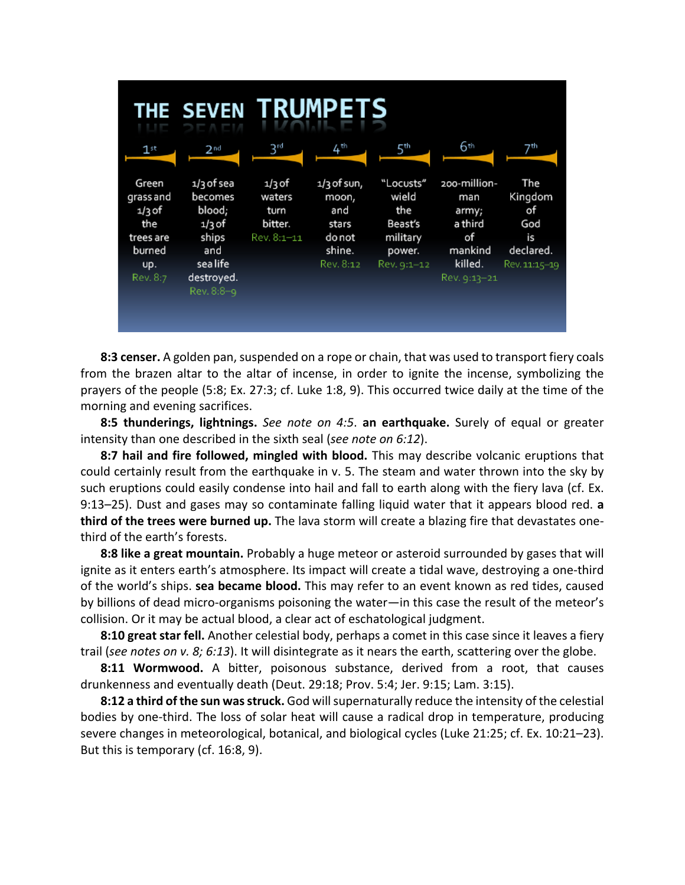| THE SEVEN TRUMPETS                                                              |                                                                                                     |                                                      |                                                                         |                                                                           |                                                                                     |                                                                 |  |
|---------------------------------------------------------------------------------|-----------------------------------------------------------------------------------------------------|------------------------------------------------------|-------------------------------------------------------------------------|---------------------------------------------------------------------------|-------------------------------------------------------------------------------------|-----------------------------------------------------------------|--|
| $1^{\text{st}}$                                                                 | $2^{nd}$                                                                                            | $3^{rd}$                                             | 4 <sup>th</sup>                                                         | 5th                                                                       | 6th                                                                                 | 7™                                                              |  |
| Green<br>grass and<br>$1/3$ of<br>the<br>trees are<br>burned<br>up.<br>Rev. 8:7 | 1/3 of sea<br>becomes<br>blood;<br>$1/3$ of<br>ships<br>and<br>sea life<br>destroyed.<br>Rev. 8:8-9 | $1/3$ of<br>waters<br>turn<br>bitter.<br>Rev. 8:1–11 | $1/3$ of sun,<br>moon,<br>and<br>stars<br>do not<br>shine.<br>Rev. 8:12 | "Locusts"<br>wield<br>the<br>Beast's<br>military<br>power.<br>Rev. 9:1-12 | 200-million-<br>man<br>army;<br>a third<br>οf<br>mankind<br>killed.<br>Rev. 9:13-21 | The<br>Kingdom<br>of<br>God<br>is<br>declared.<br>Rev. 11:15-19 |  |

**8:3 censer.** A golden pan, suspended on a rope or chain, that was used to transport fiery coals from the brazen altar to the altar of incense, in order to ignite the incense, symbolizing the prayers of the people (5:8; Ex. 27:3; cf. Luke 1:8, 9). This occurred twice daily at the time of the morning and evening sacrifices.

**8:5 thunderings, lightnings.** *See note on 4:5*. **an earthquake.** Surely of equal or greater intensity than one described in the sixth seal (*see note on 6:12*).

**8:7 hail and fire followed, mingled with blood.** This may describe volcanic eruptions that could certainly result from the earthquake in v. 5. The steam and water thrown into the sky by such eruptions could easily condense into hail and fall to earth along with the fiery lava (cf. Ex. 9:13–25). Dust and gases may so contaminate falling liquid water that it appears blood red. **a third of the trees were burned up.** The lava storm will create a blazing fire that devastates onethird of the earth's forests.

**8:8 like a great mountain.** Probably a huge meteor or asteroid surrounded by gases that will ignite as it enters earth's atmosphere. Its impact will create a tidal wave, destroying a one-third of the world's ships. **sea became blood.** This may refer to an event known as red tides, caused by billions of dead micro-organisms poisoning the water—in this case the result of the meteor's collision. Or it may be actual blood, a clear act of eschatological judgment.

**8:10 great star fell.** Another celestial body, perhaps a comet in this case since it leaves a fiery trail (*see notes on v. 8; 6:13*). It will disintegrate as it nears the earth, scattering over the globe.

**8:11 Wormwood.** A bitter, poisonous substance, derived from a root, that causes drunkenness and eventually death (Deut. 29:18; Prov. 5:4; Jer. 9:15; Lam. 3:15).

**8:12 a third of the sun was struck.** God will supernaturally reduce the intensity of the celestial bodies by one-third. The loss of solar heat will cause a radical drop in temperature, producing severe changes in meteorological, botanical, and biological cycles (Luke 21:25; cf. Ex. 10:21–23). But this is temporary (cf. 16:8, 9).